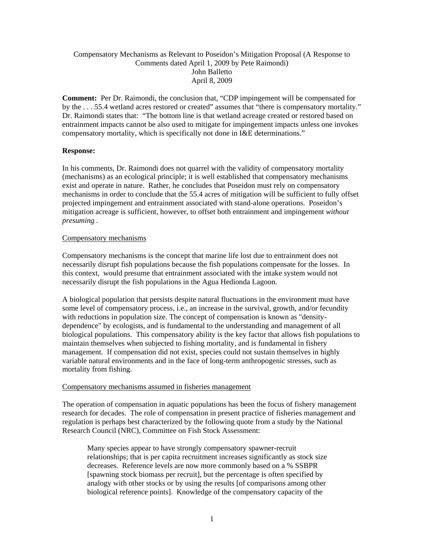# Compensatory Mechanisms as Relevant to Poseidon's Mitigation Proposal (A Response to Comments dated April 1, 2009 by Pete Raimondi) John Balletto April 8, 2009

**Comment:** Per Dr. Raimondi, the conclusion that, "CDP impingement will be compensated for by the . . . 55.4 wetland acres restored or created" assumes that "there is compensatory mortality." Dr. Raimondi states that: "The bottom line is that wetland acreage created or restored based on entrainment impacts cannot be also used to mitigate for impingement impacts unless one invokes compensatory mortality, which is specifically not done in I&E determinations."

# **Response:**

In his comments, Dr. Raimondi does not quarrel with the validity of compensatory mortality (mechanisms) as an ecological principle; it is well established that compensatory mechanisms exist and operate in nature. Rather, he concludes that Poseidon must rely on compensatory mechanisms in order to conclude that the 55.4 acres of mitigation will be sufficient to fully offset projected impingement and entrainment associated with stand-alone operations. Poseidon's mitigation acreage is sufficient, however, to offset both entrainment and impingement *without presuming .* 

### Compensatory mechanisms

Compensatory mechanisms is the concept that marine life lost due to entrainment does not necessarily disrupt fish populations because the fish populations compensate for the losses. In this context, would presume that entrainment associated with the intake system would not necessarily disrupt the fish populations in the Agua Hedionda Lagoon.

A biological population that persists despite natural fluctuations in the environment must have some level of compensatory process, i.e., an increase in the survival, growth, and/or fecundity with reductions in population size. The concept of compensation is known as "densitydependence" by ecologists, and is fundamental to the understanding and management of all biological populations. This compensatory ability is the key factor that allows fish populations to maintain themselves when subjected to fishing mortality, and is fundamental in fishery management. If compensation did not exist, species could not sustain themselves in highly variable natural environments and in the face of long-term anthropogenic stresses, such as mortality from fishing.

### Compensatory mechanisms assumed in fisheries management

The operation of compensation in aquatic populations has been the focus of fishery management research for decades. The role of compensation in present practice of fisheries management and regulation is perhaps best characterized by the following quote from a study by the National Research Council (NRC), Committee on Fish Stock Assessment:

Many species appear to have strongly compensatory spawner-recruit relationships; that is per capita recruitment increases significantly as stock size decreases. Reference levels are now more commonly based on a % SSBPR [spawning stock biomass per recruit], but the percentage is often specified by analogy with other stocks or by using the results [of comparisons among other biological reference points]. Knowledge of the compensatory capacity of the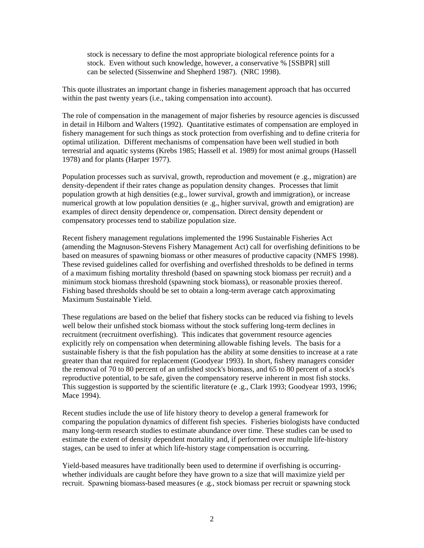stock is necessary to define the most appropriate biological reference points for a stock. Even without such knowledge, however, a conservative % [SSBPR] still can be selected (Sissenwine and Shepherd 1987). (NRC 1998).

This quote illustrates an important change in fisheries management approach that has occurred within the past twenty years *(i.e., taking compensation into account)*.

The role of compensation in the management of major fisheries by resource agencies is discussed in detail in Hilborn and Walters (1992). Quantitative estimates of compensation are employed in fishery management for such things as stock protection from overfishing and to define criteria for optimal utilization. Different mechanisms of compensation have been well studied in both terrestrial and aquatic systems (Krebs 1985; Hassell et al. 1989) for most animal groups (Hassell 1978) and for plants (Harper 1977).

Population processes such as survival, growth, reproduction and movement (e .g., migration) are density-dependent if their rates change as population density changes. Processes that limit population growth at high densities (e.g., lower survival, growth and immigration), or increase numerical growth at low population densities (e .g., higher survival, growth and emigration) are examples of direct density dependence or, compensation. Direct density dependent or compensatory processes tend to stabilize population size.

Recent fishery management regulations implemented the 1996 Sustainable Fisheries Act (amending the Magnuson-Stevens Fishery Management Act) call for overfishing definitions to be based on measures of spawning biomass or other measures of productive capacity (NMFS 1998). These revised guidelines called for overfishing and overfished thresholds to be defined in terms of a maximum fishing mortality threshold (based on spawning stock biomass per recruit) and a minimum stock biomass threshold (spawning stock biomass), or reasonable proxies thereof. Fishing based thresholds should be set to obtain a long-term average catch approximating Maximum Sustainable Yield.

These regulations are based on the belief that fishery stocks can be reduced via fishing to levels well below their unfished stock biomass without the stock suffering long-term declines in recruitment (recruitment overfishing). This indicates that government resource agencies explicitly rely on compensation when determining allowable fishing levels. The basis for a sustainable fishery is that the fish population has the ability at some densities to increase at a rate greater than that required for replacement (Goodyear 1993). In short, fishery managers consider the removal of 70 to 80 percent of an unfished stock's biomass, and 65 to 80 percent of a stock's reproductive potential, to be safe, given the compensatory reserve inherent in most fish stocks. This suggestion is supported by the scientific literature (e .g., Clark 1993; Goodyear 1993, 1996; Mace 1994).

Recent studies include the use of life history theory to develop a general framework for comparing the population dynamics of different fish species. Fisheries biologists have conducted many long-term research studies to estimate abundance over time. These studies can be used to estimate the extent of density dependent mortality and, if performed over multiple life-history stages, can be used to infer at which life-history stage compensation is occurring.

Yield-based measures have traditionally been used to determine if overfishing is occurringwhether individuals are caught before they have grown to a size that will maximize yield per recruit. Spawning biomass-based measures (e .g., stock biomass per recruit or spawning stock